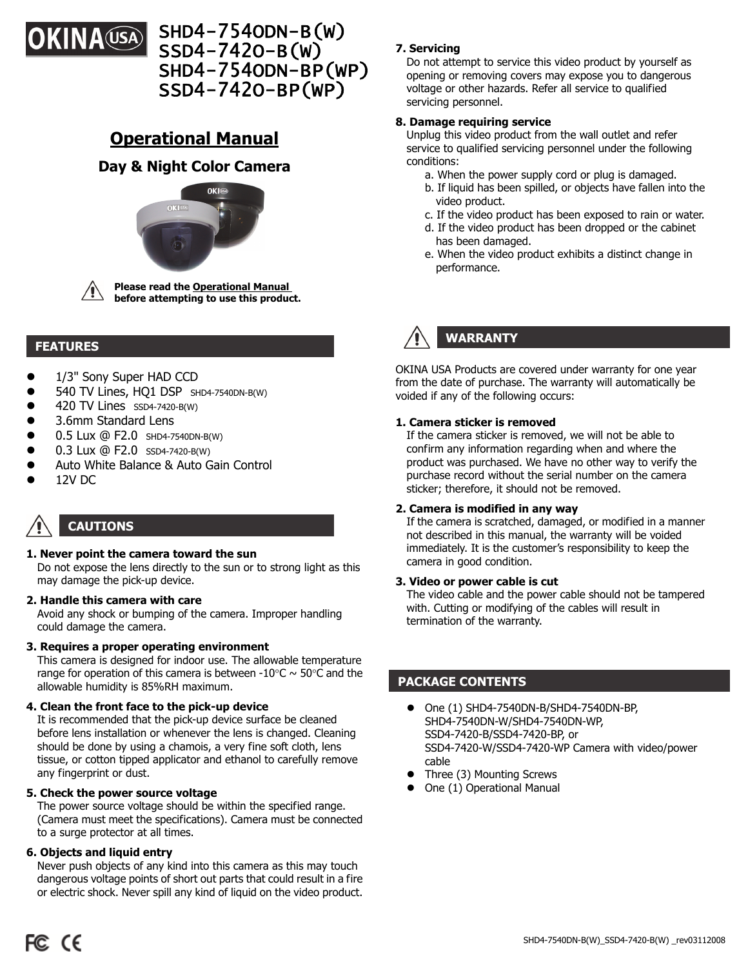

# SHD4-754ODN-B(W) SSD4-742O-B(W) SHD4-754ODN-BP(WP) SSD4-742O-BP(WP)

# **Operational Manual**

## **Day & Night Color Camera**





#### **FEATURES**

- 1/3" Sony Super HAD CCD
- 540 TV Lines, HQ1 DSP SHD4-7540DN-B(W)
- 420 TV Lines SSD4-7420-B(W)
- 3.6mm Standard Lens
- 0.5 Lux @ F2.0 SHD4-7540DN-B(W)
- 0.3 Lux @ F2.0 SSD4-7420-B(W)
- Auto White Balance & Auto Gain Control
- 12V DC

# **CAUTIONS**

#### **1. Never point the camera toward the sun**

 Do not expose the lens directly to the sun or to strong light as this may damage the pick-up device.

#### **2. Handle this camera with care**

 Avoid any shock or bumping of the camera. Improper handling could damage the camera.

#### **3. Requires a proper operating environment**

 This camera is designed for indoor use. The allowable temperature range for operation of this camera is between -10 $\degree$ C  $\sim$  50 $\degree$ C and the allowable humidity is 85%RH maximum.

#### **4. Clean the front face to the pick-up device**

 It is recommended that the pick-up device surface be cleaned before lens installation or whenever the lens is changed. Cleaning should be done by using a chamois, a very fine soft cloth, lens tissue, or cotton tipped applicator and ethanol to carefully remove any fingerprint or dust.

#### **5. Check the power source voltage**

 The power source voltage should be within the specified range. (Camera must meet the specifications). Camera must be connected to a surge protector at all times.

#### **6. Objects and liquid entry**

 Never push objects of any kind into this camera as this may touch dangerous voltage points of short out parts that could result in a fire or electric shock. Never spill any kind of liquid on the video product.

#### **7. Servicing**

 Do not attempt to service this video product by yourself as opening or removing covers may expose you to dangerous voltage or other hazards. Refer all service to qualified servicing personnel.

#### **8. Damage requiring service**

 Unplug this video product from the wall outlet and refer service to qualified servicing personnel under the following conditions:

- a. When the power supply cord or plug is damaged.
- b. If liquid has been spilled, or objects have fallen into the video product.
- c. If the video product has been exposed to rain or water.
- d. If the video product has been dropped or the cabinet has been damaged.
- e. When the video product exhibits a distinct change in performance.

# **WARRANTY**

OKINA USA Products are covered under warranty for one year from the date of purchase. The warranty will automatically be voided if any of the following occurs:

#### **1. Camera sticker is removed**

 If the camera sticker is removed, we will not be able to confirm any information regarding when and where the product was purchased. We have no other way to verify the purchase record without the serial number on the camera sticker; therefore, it should not be removed.

#### **2. Camera is modified in any way**

 If the camera is scratched, damaged, or modified in a manner not described in this manual, the warranty will be voided immediately. It is the customer's responsibility to keep the camera in good condition.

#### **3. Video or power cable is cut**

The video cable and the power cable should not be tampered with. Cutting or modifying of the cables will result in termination of the warranty.

### **PACKAGE CONTENTS**

- One (1) SHD4-7540DN-B/SHD4-7540DN-BP, SHD4-7540DN-W/SHD4-7540DN-WP, SSD4-7420-B/SSD4-7420-BP, or SSD4-7420-W/SSD4-7420-WP Camera with video/power cable
- Three (3) Mounting Screws
- One (1) Operational Manual